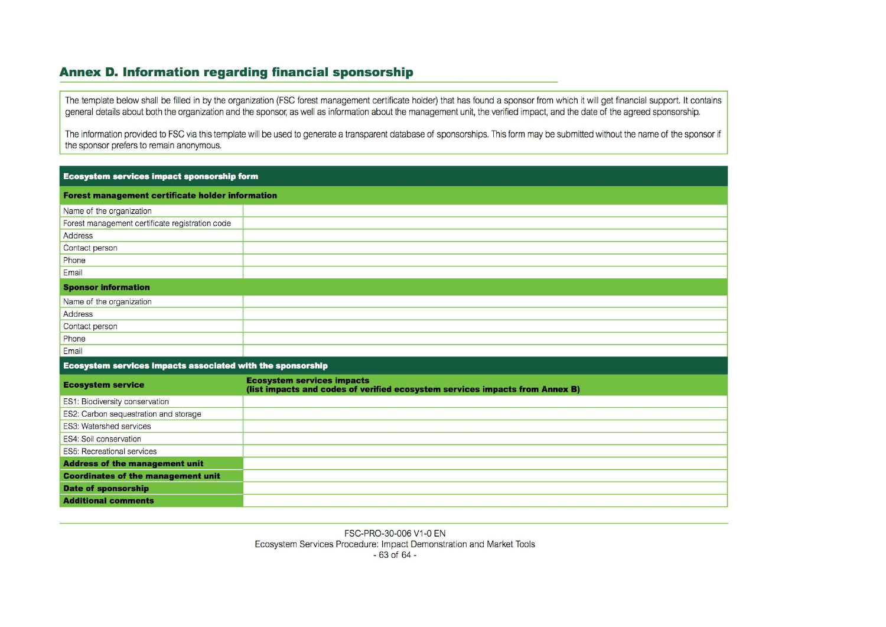## Annex D. Information regarding financial sponsorship

The template below shall be filled in by the organization (FSC forest management certificate holder) that has found a sponsor from which it will get financial support. It contains general details about both the organization and the sponsor, as well as information about the management unit, the verified impact, and the date of the agreed sponsorship.

The information provided to FSC via this template will be used to generate a transparent database of sponsorships. This form may be submitted without the name of the sponsor if the sponsor prefers to remain anonymous.

| <b>Ecosystem services impact sponsorship form</b>          |                                                                                                                   |  |  |  |  |  |  |  |  |  |  |  |
|------------------------------------------------------------|-------------------------------------------------------------------------------------------------------------------|--|--|--|--|--|--|--|--|--|--|--|
| <b>Forest management certificate holder information</b>    |                                                                                                                   |  |  |  |  |  |  |  |  |  |  |  |
| Name of the organization                                   |                                                                                                                   |  |  |  |  |  |  |  |  |  |  |  |
| Forest management certificate registration code            |                                                                                                                   |  |  |  |  |  |  |  |  |  |  |  |
| Address                                                    |                                                                                                                   |  |  |  |  |  |  |  |  |  |  |  |
| Contact person                                             |                                                                                                                   |  |  |  |  |  |  |  |  |  |  |  |
| Phone                                                      |                                                                                                                   |  |  |  |  |  |  |  |  |  |  |  |
| Email                                                      |                                                                                                                   |  |  |  |  |  |  |  |  |  |  |  |
| <b>Sponsor information</b>                                 |                                                                                                                   |  |  |  |  |  |  |  |  |  |  |  |
| Name of the organization                                   |                                                                                                                   |  |  |  |  |  |  |  |  |  |  |  |
| Address                                                    |                                                                                                                   |  |  |  |  |  |  |  |  |  |  |  |
| Contact person                                             |                                                                                                                   |  |  |  |  |  |  |  |  |  |  |  |
| Phone                                                      |                                                                                                                   |  |  |  |  |  |  |  |  |  |  |  |
| Email                                                      |                                                                                                                   |  |  |  |  |  |  |  |  |  |  |  |
| Ecosystem services impacts associated with the sponsorship |                                                                                                                   |  |  |  |  |  |  |  |  |  |  |  |
| <b>Ecosystem service</b>                                   | <b>Ecosystem services impacts</b><br>(list impacts and codes of verified ecosystem services impacts from Annex B) |  |  |  |  |  |  |  |  |  |  |  |
| ES1: Biodiversity conservation                             |                                                                                                                   |  |  |  |  |  |  |  |  |  |  |  |
| ES2: Carbon sequestration and storage                      |                                                                                                                   |  |  |  |  |  |  |  |  |  |  |  |
| <b>ES3: Watershed services</b>                             |                                                                                                                   |  |  |  |  |  |  |  |  |  |  |  |
| <b>ES4: Soil conservation</b>                              |                                                                                                                   |  |  |  |  |  |  |  |  |  |  |  |
| <b>ES5: Recreational services</b>                          |                                                                                                                   |  |  |  |  |  |  |  |  |  |  |  |
| <b>Address of the management unit</b>                      |                                                                                                                   |  |  |  |  |  |  |  |  |  |  |  |
| <b>Coordinates of the management unit</b>                  |                                                                                                                   |  |  |  |  |  |  |  |  |  |  |  |
| <b>Date of sponsorship</b>                                 |                                                                                                                   |  |  |  |  |  |  |  |  |  |  |  |
| <b>Additional comments</b>                                 |                                                                                                                   |  |  |  |  |  |  |  |  |  |  |  |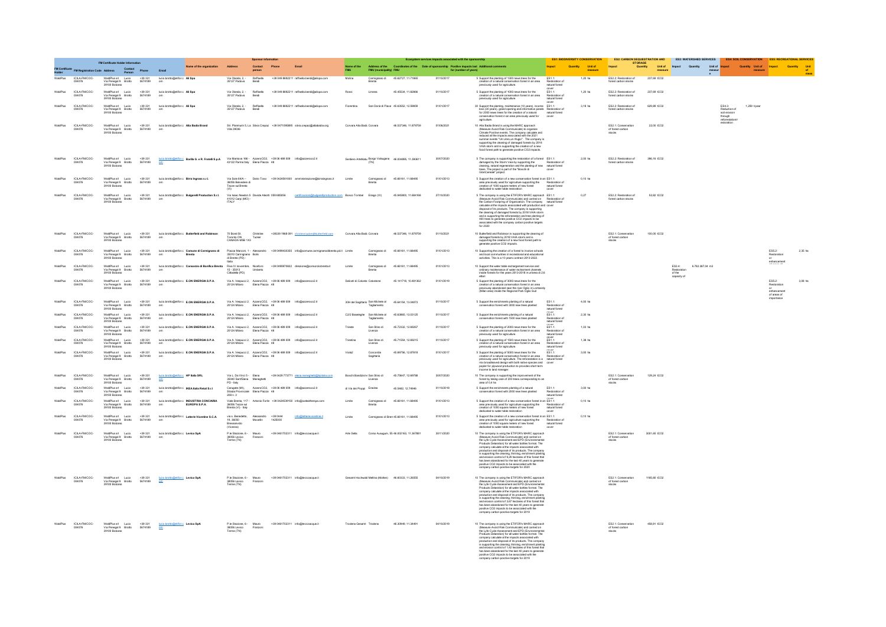|                 | FM Certificate Holder Information        |                                                                                   |                                  |                                                          |                                                                                             | <b>Sponsor information</b>                                                                       |                     |            |                                                                                                                  | Ecosystem services impacts associated with the sponsorship |                                      |                                                        |                                                                                                                           |                                                                                                                                                                                                                                                                                                                                                                                                                                                                                                                                                                                                                                            |                                            | <b>ES1: BIODIVERSITY CONSERVATION</b> |                                                   | <b>STORAGE</b>                                |              | ES2: CARBON SEQUESTRATION AND ES3: WATERSHED SERVICES ES4: SOIL CONSERVATION ES5: RECREATIONAL SERVICES |                                                                       |                         |                                                          |              |
|-----------------|------------------------------------------|-----------------------------------------------------------------------------------|----------------------------------|----------------------------------------------------------|---------------------------------------------------------------------------------------------|--------------------------------------------------------------------------------------------------|---------------------|------------|------------------------------------------------------------------------------------------------------------------|------------------------------------------------------------|--------------------------------------|--------------------------------------------------------|---------------------------------------------------------------------------------------------------------------------------|--------------------------------------------------------------------------------------------------------------------------------------------------------------------------------------------------------------------------------------------------------------------------------------------------------------------------------------------------------------------------------------------------------------------------------------------------------------------------------------------------------------------------------------------------------------------------------------------------------------------------------------------|--------------------------------------------|---------------------------------------|---------------------------------------------------|-----------------------------------------------|--------------|---------------------------------------------------------------------------------------------------------|-----------------------------------------------------------------------|-------------------------|----------------------------------------------------------|--------------|
|                 |                                          | <b>Address</b>                                                                    |                                  |                                                          | Name of the orga                                                                            |                                                                                                  | Contact<br>person   | Phone      |                                                                                                                  | Name of the                                                |                                      |                                                        | Address of the Coordinates of the Date of sponsorship Positive impacts last Additional comments<br>FMU (municipality) FMU |                                                                                                                                                                                                                                                                                                                                                                                                                                                                                                                                                                                                                                            | Impact                                     | <b>Holt of</b><br>Quantity            |                                                   | Quantity                                      |              | Unit of Impact Quantity                                                                                 | Unit of <b>Impact</b>                                                 | Quantity Unit of Impact |                                                          | Quantity Unk |
|                 | ICILA-FM/COC-                            | WaldPlus srl Lucio<br>Via Penegal 9 Brotto<br>39100 Bolzan                        | +39 331<br>5674189               | lucio.brotto@etifor.c All Spa                            |                                                                                             | Via Olanda, 2, -<br>35127 Padova                                                                 | Raffaela<br>Bendi   |            | +39 049 8692211 raffaella.bendi@alispa.com                                                                       | Molina                                                     | Carmignano di                        | 45.62727.11.71865                                      | 01/10/2017                                                                                                                | 5 Support the planting of 1300 news trees for the<br>creation of a natural conservation forest in an area                                                                                                                                                                                                                                                                                                                                                                                                                                                                                                                                  | ES1.1:<br>Restoration of<br>natural forest | 1.20 ha                               |                                                   | ES2.2: Restoration of<br>forest carbon stocks | 237.69 tCO2  |                                                                                                         |                                                                       |                         |                                                          |              |
|                 | ICILA-FM/COC-                            | WaldPlus srl Lucio<br>Via Penegal 9 Brotto<br>39100 Bob                           | $+39.331$<br>5674189             | lucio.brotto@etifor.c All Spa                            |                                                                                             | Via Olanda, 2,<br>35127 Padova                                                                   | Raffaela<br>Bendi   |            | +39 049 8692211 raffaelia.bendi@alispa.com                                                                       |                                                            |                                      | 45.45534, 11.82866                                     | 01/10/2017                                                                                                                | previously used for agriculture.<br>5 Support the planting of 1000 news trees for the<br>creation of a natural conservation forest in an area                                                                                                                                                                                                                                                                                                                                                                                                                                                                                              | ES1.1:<br>natural forest                   | 1,20 ha                               |                                                   | ES2.2: Restoration of<br>forest carbon stocks | 237,69 tCO2  |                                                                                                         |                                                                       |                         |                                                          |              |
|                 | ICILA-FM/COC-                            | WaldPlus srl Lucio<br>Via Penegal 9 Brotto<br>39100 Bolzano                       | +39 331<br>5674189               | lucio.brotto@etifor.c All Spa                            |                                                                                             | Via Olanda, 2, -<br>35127 Padova                                                                 |                     |            | +39 049 8692211 raffaella.bendi@alispa.com                                                                       |                                                            |                                      | San Donà di Piave 45.63552, 12.59859                   | 01/01/2017                                                                                                                | previously used for agriculture.<br>30 Support the planting, maintenance (10 years), income<br>loss (30 years), grand opening and informative panels. Restoration of<br>for 2000 news trees for the creation of a natural<br>conservation forest in an area previously used                                                                                                                                                                                                                                                                                                                                                                |                                            | 3,18 ha                               | ES2 2: Restoration                                | forest carbon stocks                          | 629,89 tCO2  |                                                                                                         | $\textsf{ES4.3}\textsf{:}$<br>Reduction of<br>soil erosion<br>through | 1,259 t/year            |                                                          |              |
| <b>WaldPlus</b> | ICILA-FM/COC-                            | WaldPlus of Lucio<br>Viatricis sil Lucio<br>Via Penegal 9 Brotto<br>39100 Bolzano | $+39.331$<br>5674189             | lucio.brotto@etifor.c Alta Badia Brand                   |                                                                                             | Villa 39036                                                                                      |                     |            | Str. Planmurin 5, La Silvia Crepaz +39 0471095895 silvia crepaz@altabadia.org                                    | Corvara Alta Badi Corvara                                  |                                      | 46.537346.11.879759                                    | 01/06/2021                                                                                                                | agriculture.<br>10 Ala Badia Brand is using the MARC approach<br>(Measure Avel Risk Communicably bogarize<br>Climate Positive events. The company calculate and<br>reducted all the impacts associated with the 2021<br>measure summer events: The Librou                                                                                                                                                                                                                                                                                                                                                                                  |                                            |                                       | ES2 1: Conservation<br>forest carbon              |                                               | 22.00.1002   |                                                                                                         | reforestatio                                                          |                         |                                                          |              |
|                 | ICILA-FM/COC-                            | WaldPlus srl Lucio<br>Via Penegal 9 Brotto<br>39100 Bob                           | $+39.331$<br>5674189             |                                                          | tucio brotto@etifor.c Barilla G. e R. Fratelli S.p.A                                        |                                                                                                  |                     |            | Via Mantova 166 - AzzeroCO2, +39 06 489 009 info@azzeroco2.it<br>43122 Parma Italy Elena Piazza 48               |                                                            |                                      | Sentiero ArteNatu Borgo Valsugana 46.004895, 11.390611 | 30/07/2020                                                                                                                | 5 The company is supporting the restoration of a forest ES1.1:<br>damaged by the Storm Vaia by supporting the<br>clearing, natural regeneration and the planting of new natural forest<br>these. The project is part of the "Boschi di<br>GranCereale" prole                                                                                                                                                                                                                                                                                                                                                                               | th notte                                   | 2,00 ha                               |                                                   | ES2.2: Restoration of<br>forest carbon stocks | 396,16 tCO2  |                                                                                                         |                                                                       |                         |                                                          |              |
| <b>NaidPlus</b> | ICILA-FM/COC-<br>004076                  | WaldPlus srl Lucio<br>Via Penegal 9 Brotto<br>39100 Bolza                         | +39 331<br>5674189               | lucio.brotto@etifor.c Birra Ingross s.r.l.               |                                                                                             | 36056 Belvedere di<br>Tezze sul Brenta<br>(VI)                                                   |                     |            | Via Sole 64/A - Dario Toso +39 0424561000 amministrazione@birraingross.it                                        | Limite                                                     |                                      | Carmignano di 45.66161, 11.68495                       | 01/01/2013                                                                                                                | 5 Support the creation of a new conservation forest in an ES1.1:<br>area previously used for agriculture supporting the Restoration of tool square meters of new forest natural forest<br>dedicated to water table restoration                                                                                                                                                                                                                                                                                                                                                                                                             | ation of<br>cover                          | $0,10$ ha                             |                                                   |                                               |              |                                                                                                         |                                                                       |                         |                                                          |              |
| ValdPlus        | ICILA-FM/COC-                            | WaldPlus srl Lucio<br>Via Penegal 9 Brotto<br>39100 Bolzano                       | +39 331<br>5674189               |                                                          | lucio.brotto@etifor.c Bulgarelli Production S.r.L                                           | Via Isaac Newton 5<br>41012 Carpi (MO) -<br><b>ITALY</b>                                         |                     |            | ion 5 Davide Aleotti 059 685056 certificazioni@bulgareliproduction.com Bosco Tombal Enego (VI)                   |                                                            |                                      | 45.945800, 11.684168                                   | 27/10/2020                                                                                                                | 5 The company is using the ETIFOR's MARC approach ES1.1:<br>(Measure Avoid Risk Communicate) and carried on Restoration of<br>the Carbon Footpring of Organization. The company natural forest<br>calculate al the impacts ass<br>ciated with production and cover<br>disposal of its products. The company is supporting<br>the cleaning of damaged forests by 2018 VAIA stor<br>and is supporting the reforestation and tree planting of<br>400 trees to generate positive CO2 impacts to be<br>associated with the company carbon positive targets<br>for 2020                                                                          |                                            | 0,27                                  |                                                   | ES2.2: Restoration of<br>forest carbon stocks | 52,82 tCO2   |                                                                                                         |                                                                       |                         |                                                          |              |
|                 | ICILA-FM/COC-                            | WaldPlus srl Lucio<br>Via Penegal 9 Brotto<br>39100 Bolzano                       | +39 331<br>5674 189              |                                                          | lucio.brotto@etifor.c Butterfield and Robinson                                              | 70 Bond St.<br>Toronto ON<br>CANADA M5B 1X3                                                      | Christine<br>Tucker |            | +39339 1958 091 christine.tucker@butterfield.com Corvara Alta Badi Corvara                                       |                                                            |                                      | 46.537346, 11.879759                                   | 01/10/2021                                                                                                                | 10 Butterfield and Robinson is supporting the cleaning of<br>damaged forests by 2018 VAIA storm and is<br>supporting the creation of a new food forest path to<br>generate positive CO2 impacts.                                                                                                                                                                                                                                                                                                                                                                                                                                           |                                            |                                       |                                                   | ES2.1: Conservation<br>of forest carbon       | 100,00 tCO2  |                                                                                                         |                                                                       |                         |                                                          |              |
| <b>NaldPlus</b> | ICILA-FM/COC-<br>004076                  | WaldPlus srl Lucio<br>Via Penegal 9 Brotto<br>39100 Bolzano                       | +39 331<br>5674189               |                                                          | lucio.brotto@etifor.c Comune di Carmignano di<br>Brenta                                     | 35010 Carmignano Bolis<br>di Brenta (PD) -                                                       |                     |            | Piazza Marconi, 1 - Alessandro +39 0499430355 info@comune.camignanodibrenta.pd.it Limite                         |                                                            | Carmignano di                        | 45.66161, 11.68495                                     | 01/01/2013                                                                                                                | 10 Supporting the creation of a forest to involve schools<br>and local communities in recreational and educational<br>activities. This is a 10 years contract 2013-2022.                                                                                                                                                                                                                                                                                                                                                                                                                                                                   |                                            |                                       |                                                   |                                               |              |                                                                                                         |                                                                       |                         | ES5.2:<br>Restoration                                    | 2,35 ha      |
|                 | ICILA-FM/COC-<br>004076                  | WaldPlus srl Lucio<br>Via Penegal 9 Brotto<br>39100 Bolzan                        | +39 331<br>5674189               | cm <sup>2</sup>                                          | lucio.brotto@etifor.c Consorzio di Bonifica Brenta                                          | Italia<br>Riva IV novembre, Niceforo<br>15 - 35013<br>Cittadella (PD)                            | Umberto             |            | +39 0495970822 direzione@consorziobrenta.it                                                                      | Limite                                                     | Carmignano di                        | 45.66161, 11.68495                                     | 01/01/2013                                                                                                                | 10 Support the water table rechargement service and<br>ordinary maintenance of water recharment channels<br>inside forests for the years 2013-2018 in un'area di 2,6<br>ettari                                                                                                                                                                                                                                                                                                                                                                                                                                                             |                                            |                                       |                                                   |                                               |              | ES3.4:<br>6.782.387,04 m3<br>of the<br>capacity of                                                      |                                                                       |                         | enhancement                                              |              |
| <b>NaidPlus</b> | ICILA-FM/COC-<br>004076                  | WaldPlus srl<br>Via Penegal 9 Brotto<br>39100 Bolzano                             | +39 331<br>5674189               |                                                          | lucio.brotto@etifor.c E.ON ENERGIA S.P.A.                                                   | 20124 Milano                                                                                     | Elena Plazza 48     |            | Via A. Vespucci 2, AzzeroCO2, +39 06 489 009 info@azzeroco2.it                                                   | Saliceti di Calvato Calvatone                              |                                      | 45.141718, 10.481362                                   | 01/01/2019                                                                                                                | 5 Support the planting of 3000 news trees for the<br>creation of a natural conservation forest in an area<br>previously abandoned near the river Oglio in Lombardy<br>(Milan area) inside the Regional Park Oglio Sud                                                                                                                                                                                                                                                                                                                                                                                                                      |                                            |                                       |                                                   |                                               |              |                                                                                                         |                                                                       |                         | ES5.2:<br>Restoration<br>or<br>erhancemen<br>of areas of | 3.08 ha      |
|                 | ICILA-FM/COC-                            | WaldPlus srl Lucio<br>Via Penegal 9 Brotto<br>39100 Bolzano                       | $+39.331$<br>5674189             |                                                          | lucio.brotto@etifor.c E.ON ENERGIA S.P.A.                                                   | Via A. Vespuosi 2, Azzero CO2, +39 06 489 009 info@azzer<br>20124 Milano       Elena Plazza   48 |                     |            | oco2.it                                                                                                          |                                                            | 30H del Sagittario San Michele al    | 45.64154, 13.04873                                     | 01/10/2017                                                                                                                | 5 Support the enrichments planting of a natural<br>conservation forest with 3000 new trees planted                                                                                                                                                                                                                                                                                                                                                                                                                                                                                                                                         | ES11:<br>Restoration of                    | 4.00 ha                               |                                                   |                                               |              |                                                                                                         |                                                                       |                         |                                                          |              |
|                 | ICILA-FM/COC-<br>004076                  | WaldPlus srl<br>Via Penegal 9 Brotto<br>39100 Bolzano                             | +39 331<br>5674189               |                                                          | lucio.brotto@etifor.c E.ON ENERGIA S.P.A.                                                   |                                                                                                  |                     |            | Via A. Vespuosi 2, Azzero CO2, +39 06 489 009 info@azzeroco2.it<br>20124 Milano Elena Plazza 48                  | C2/2 Baseleghe                                             | San Michele al<br>Tagliamento        | 45.63865, 13.03125                                     | 01/10/2017                                                                                                                | 5 Support the enrichments planting of a natural<br>conservation forest with 1500 new trees planted                                                                                                                                                                                                                                                                                                                                                                                                                                                                                                                                         | ES1.1:<br>Restor<br>natural forest         | 2,30 ha                               |                                                   |                                               |              |                                                                                                         |                                                                       |                         |                                                          |              |
|                 | ICILA-FM/COC-                            | WaldPlus sit Lucio<br>Via Penegal 9 Brotto<br>39100 Bolzano                       | $+39.331$<br>5674189             |                                                          | lucio.brotto@etifor.c E.ON ENERGIA S.P.A.                                                   |                                                                                                  |                     |            | Via A. Vespuori 2, Azzero CO2, +39 06 489 009 info@azzeroco2.it<br>20124 Milano     Elena Piazza   48            | Trieste                                                    | San Stino di                         | 45.72332, 12.69267                                     | 01/10/2017                                                                                                                | 5 Support the planting of 2000 news trees for the<br>creation of a natural conservation forest in an area<br>previously used for agriculture.                                                                                                                                                                                                                                                                                                                                                                                                                                                                                              | ES11:<br>Restoration<br>natural forest     | 1.03 ha                               |                                                   |                                               |              |                                                                                                         |                                                                       |                         |                                                          |              |
| <b>NaldPlus</b> | ICILA-FM/COC-<br>004076<br>ICILA-FM/COC- | WaldPlus srl Lucio<br>Via Penegal 9 Brotto<br>39100 Bolzano                       | $+39331$<br>5674189<br>$+39.331$ |                                                          | lucio.brotto@etifor.c E.ON ENERGIA S.P.A.                                                   |                                                                                                  |                     |            | Via A. Vespucci 2, Azzero CO2, +39 05 489 009 info@azzeroco2.it<br>20124 Milano Elena Plazza 48                  | Triestina<br>Viola2                                        | San Stino di<br>Livenza<br>Concordia | 45.71554, 12.69215<br>45.69756, 12.87818               | 01/10/2017<br>01/01/2017                                                                                                  | 5 Support the planting of 1500 news trees for the<br>creation of a natural conservation forest in an area<br>previously used for agriculture.                                                                                                                                                                                                                                                                                                                                                                                                                                                                                              | ES1.1:<br>Restoration of<br>natural forest | 1,38 ha<br>3.00 ha                    |                                                   |                                               |              |                                                                                                         |                                                                       |                         |                                                          |              |
|                 |                                          | WaldPlus srl<br>Via Penegal 9 Brotto<br>39100 Bolzano                             | 5674189                          |                                                          | lucio.brotto@etifor.c E.ON ENERGIA S.P.A.                                                   | Via A. Vespuod 2, Azzero CO2, +39 06 489 009 info@azze<br>20124 Milano Elena Piazza 48           |                     |            |                                                                                                                  |                                                            |                                      |                                                        |                                                                                                                           | 5 Support the planting of 5000 news trees for the $E(51.11)$<br>creation of a natural contenentation forest in an area Restoration can be<br>previously used for agriculture. The reforestation is a natural forest<br>mix broadleaved                                                                                                                                                                                                                                                                                                                                                                                                     |                                            |                                       |                                                   |                                               |              |                                                                                                         |                                                                       |                         |                                                          |              |
| WaldPlus        | ICILA-FM/COC-<br>004076                  | WaldPlus srl Lucio<br>Via Penegal 9 Brotto<br>39100 Bolzano                       | +39 331<br>5674189               | <b>Loin brotto@etifor.c HP Italia SRL</b><br>$rac{1}{2}$ |                                                                                             | Via L. Da Vinci 5 - Elena<br>35040 Sant'Elena Meneghetti<br>PD - Italy                           |                     |            | +39 0429 773771 elena meneghetti@hpitalia.com                                                                    | Boschi Bandiziol e San Stino di                            |                                      | 45.75647, 12.69788                                     | 30/07/2020                                                                                                                | 10 The company is supporting the improvement of the<br>forest by taking care of 200 trees corresponding to an<br>area of 0,4 ha                                                                                                                                                                                                                                                                                                                                                                                                                                                                                                            |                                            |                                       | ES2.1: Conservation<br>of forest carbon<br>stocks |                                               | 129,24 tCO2  |                                                                                                         |                                                                       |                         |                                                          |              |
| WaldPlus        | ICILA-FM/COC-<br>ICI A-FMCOC             | WaldPlus srl Lucio<br>Via Penegal 9 Brotto<br>39100 Bolzano                       | +39 331<br>5674189<br>$+39.331$  |                                                          | lucio.brotto@etifor.c IKEA Italia Retail S.r.I<br>lucio.brotto@etifor.c INDUSTRIA CONCIARIA | Carugate (MI),<br>208 n. 3                                                                       |                     |            | e (MI),            Azzero CO2,     +39 06 489 009        info@azzeroco2.it<br>Provinciale     Elena Plazza    48 | di Via dei Pioppi Eraclea                                  |                                      | 45.5482, 12.74946                                      | 01/10/2018<br>01/01/2013                                                                                                  | 5 Support the enrichments planting of a natural<br>conservation forest with 2000 new trees planted                                                                                                                                                                                                                                                                                                                                                                                                                                                                                                                                         | ES1.1:<br>natural forest                   | $3,00$ ha<br>0.10 ha                  |                                                   |                                               |              |                                                                                                         |                                                                       |                         |                                                          |              |
|                 | 004076                                   | WaldPlus srl Lucio<br>Via Penegal 9 Brotto<br>39100 Bolza                         | 5674189                          |                                                          | EUROPA S.P.A.                                                                               | 35056 Tezze sul<br>Brenta (VI) - Italy                                                           |                     |            | Viale Brenta, 117 - Antonio Forlin +39 0424539150 info@iceleatherspa.com                                         |                                                            |                                      | 45.66161, 11.68495                                     |                                                                                                                           | 5 Support the creation of a new conservation forest in an ES1.1:<br>area previously used for agriculture supporting the Restorat<br>creation of 1000 square meters of new forest matural red<br>delicated to water table restoration                                                                                                                                                                                                                                                                                                                                                                                                       | natural forest<br>cover                    |                                       |                                                   |                                               |              |                                                                                                         |                                                                       |                         |                                                          |              |
|                 | <b>ICILA-FM/COC-</b><br>04076            | WaldPlus sit Lucio<br>viaurius sil<br>Via Penegal 9<br>39100 Bolzano              | $+39.331$<br>5674189             |                                                          | lucio.brotto@etifor.c Latterie Vicentine S.C.A.                                             | via s. Benedetto<br>19, 36050<br>Bressanvido<br>(Vicenza)                                        |                     | $+39,0444$ | info@latterievicentine.it                                                                                        | Limite                                                     |                                      | Carmignano di Bren 45.66161, 11.68495                  | 01/01/2013                                                                                                                | $\begin{tabular}{l} 5 \text{ Support the creation of a new corresponding function} \begin{tabular}{l} 5 \text{ Supporting the} \end{tabular} \end{tabular} \begin{tabular}{l} 5 \text{ supporting the} \end{tabular} \begin{tabular}{l} 5 \text{ wording of right} \end{tabular} \end{tabular} \begin{tabular}{l} 6 \text{ void of right} \end{tabular} \begin{tabular}{l} 6 \text{ void of right} \end{tabular} \end{tabular} \begin{tabular}{l} 6 \text{ void of right} \end{tabular} \end{tabular} \begin{tabular}{l} 6 \text{ void of right} \end{tabular} \end{tabular} \begin{tabular}{$                                             |                                            | $0,10$ ha                             |                                                   |                                               |              |                                                                                                         |                                                                       |                         |                                                          |              |
|                 | ICILA-FMCOC-                             | WaldPlus srl Lucio<br>Via Penegal 9 Brotto<br>39100 Bolzano                       | +39 331<br>5674189               | lucio.brotto@etifor.c Levico SpA                         |                                                                                             | P.le Stazione, 6 -<br>38056 Levico<br>Terme (TN)                                                 |                     |            | +39 0461702311 info@levicoacque.i                                                                                |                                                            |                                      | Corso Ausugum, 55 46.002163, 11.367881                 | 30/11/2020                                                                                                                | 10 The company is using the ETIFOR's MARC approach<br>(Measure Avoid Risk Communicate) and carried cent<br>the Lyfe Cycle Assessment and EPD (Environemental<br>Products Delantion) for all water bottles format. The<br>company calculate<br>is supporting the cleaning, thinning, enrichment planting<br>and erosion control of 9,29 hectares of this forest that<br>has been abandoned for the last 40 years to generate<br>positive CO2 impacts to be asso<br>iated with the<br>company carbon positive targets for 2020                                                                                                               |                                            |                                       | ES2.1: Conservation<br>of forest carbon<br>stocks |                                               | 3001,65 tCO2 |                                                                                                         |                                                                       |                         |                                                          |              |
|                 | ICILA-FM/COC-<br>004076                  | WaldPlus srl Lucio<br>Via Penegal 9 Brotto<br>39100 Bolzano                       | +39 331<br>5674189               | lucio.brotto@etifor.c Levico Sp/                         |                                                                                             | P.le Stazione, 6 - Mauro<br>38056 Levico<br>Terme (TN)                                           | Franzoni            |            | +39 0461702311 info@levicoacque.it                                                                               |                                                            |                                      | Gesamt Hochwald Meltina (Molten) 46.60333, 11.26555    | 04/10/2019                                                                                                                | 10 The company is using the ETIFOR's MARC approach<br>(Measure Avoid Risk Communicate) and carried on<br>the Lyfe Cycle Assessment and EPD (Environement<br>Products Delaration) for all water bottles format. The<br>company calculate al the impacts associated with<br>production and disposal of its products. The company<br>is supporting the cleaning, thinning, enrichment plantin<br>and erosion control of 3.67 hed<br>s of this forest that<br>has been abandoned for the last 40 years to generate<br>positive CO2 impacts to be associated with the<br>company carbon positive targets for 2019                               |                                            |                                       | ES2.1: Conservation<br>of forest carbon<br>stocks |                                               | 1185,80 tCO2 |                                                                                                         |                                                                       |                         |                                                          |              |
|                 | ICI A-FMCOC                              | WaldPlus of Lucio<br>Via Penegal 9 Brotto                                         | $+39.331$<br>5674189             | Licio.brotto@etifor.c Levico SpA                         |                                                                                             | P.le Stazione, 6 - Mauro<br>Pue deacrone,<br>38056 Levico<br>Terme (TN)                          |                     |            | +39 0461702311 info@levicoacque.it                                                                               |                                                            |                                      |                                                        | 04/10/2019                                                                                                                | 10 The company is using the ETIFOR's MARC approach<br>(Measure Avoid Risk Communicate) and carried on<br>we consider Avoid Risk Communicate) and cantrid approach<br>the Lyfe Cycle Assessment and EPD (Environmental<br>Products Delaration) for all wake hottles format. The<br>company calculate all the impacts associated with<br>products of<br>conduction and disposal of its products. The company<br>production and disposal of its products. The company<br>is supporting the dearing, thinning, emichment planting<br>has been abandoned for the last 40 years to generate<br>positiv<br>ompany carbon nositive tamets for 2019 |                                            |                                       | ES2 1: Conservation<br>of forest carbon<br>stocks |                                               | 458,81 tCO2  |                                                                                                         |                                                                       |                         |                                                          |              |